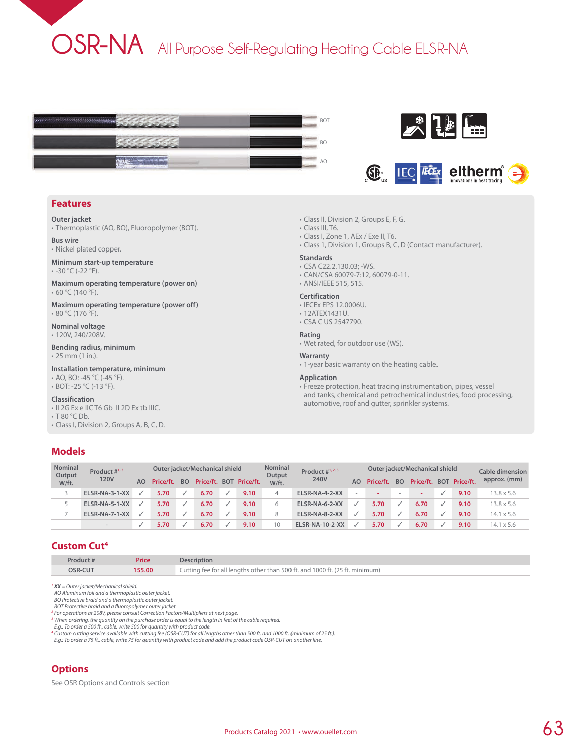# **OSR-NA** All Purpose Self-Regulating Heating Cable ELSR-NA







#### **Features**

**Outer jacket**

• Thermoplastic (AO, BO), Fluoropolymer (BOT).

**Bus wire** • Nickel plated copper.

**Minimum start-up temperature**

• -30 °C (-22 °F).

**Maximum operating temperature (power on)** • 60 °C (140 °F).

**Maximum operating temperature (power off)** • 80 °C (176 °F).

**Nominal voltage** • 120V, 240/208V.

**Bending radius, minimum** • 25 mm (1 in.).

**Installation temperature, minimum**

- AO, BO: -45 °C (-45 °F).
- BOT: -25 °C (-13 °F).

#### **Classification**

- II 2G Ex e IIC T6 Gb II 2D Ex tb IIIC.
- T 80 °C Db.
- Class I, Division 2, Groups A, B, C, D.

## **Models**

|  |  |  | • Class II, Division 2, Groups E, F, G. |  |  |  |  |  |  |
|--|--|--|-----------------------------------------|--|--|--|--|--|--|
|--|--|--|-----------------------------------------|--|--|--|--|--|--|

- Class III, T6.
- Class I, Zone 1, AEx / Exe II, T6.
- Class 1, Division 1, Groups B, C, D (Contact manufacturer).

#### **Standards**

- CSA C22.2.130.03; -WS.
- CAN/CSA 60079-7:12, 60079-0-11.
- ANSI/IEEE 515, 515.

#### **Certification**

- IECEx EPS 12.0006U.
- 12ATEX1431U.
- CSA C US 2547790.

#### **Rating**

• Wet rated, for outdoor use (WS).

#### **Warranty**

• 1-year basic warranty on the heating cable.

#### **Application**

• Freeze protection, heat tracing instrumentation, pipes, vessel and tanks, chemical and petrochemical industries, food processing, automotive, roof and gutter, sprinkler systems.

| <b>Nominal</b><br>Output | Product $\#^{1,3}$ |    |           |           | Outer jacket/Mechanical shield |                         | <b>Nominal</b><br>Output | Product $\#^{1,2,3}$   | Outer jacket/Mechanical shield |           |           |      |  |                         | Cable dimension   |
|--------------------------|--------------------|----|-----------|-----------|--------------------------------|-------------------------|--------------------------|------------------------|--------------------------------|-----------|-----------|------|--|-------------------------|-------------------|
| W/ft.                    | 120V               | AO | Price/ft. | <b>BO</b> |                                | Price/ft. BOT Price/ft. | W/ft.                    | 240V                   | AΩ                             | Price/ft. | <b>BO</b> |      |  | Price/ft. BOT Price/ft. | approx. (mm)      |
|                          | ELSR-NA-3-1-XX     |    | 5.70      |           | 6.70                           | 9.10                    |                          | ELSR-NA-4-2-XX         |                                |           | $\sim$    |      |  | 9.10                    | $13.8 \times 5.6$ |
|                          | ELSR-NA-5-1-XX     |    | 5.70      |           | 6.70                           | 9.10                    |                          | ELSR-NA-6-2-XX         |                                | 5.70      |           | 6.70 |  | 9.10                    | 13.8 x 5.6        |
|                          | ELSR-NA-7-1-XX     |    | 5.70      |           | 6.70                           | 9.10                    | 8                        | ELSR-NA-8-2-XX         |                                | 5.70      |           | 6.70 |  | 9.10                    | $14.1 \times 5.6$ |
| $\sim$                   | $\equiv$           |    | 5.70      |           | 6.70                           | 9.10                    | 10                       | <b>ELSR-NA-10-2-XX</b> |                                | 5.70      |           | 6.70 |  | 9.10                    | $14.1 \times 5.6$ |

#### **Custom Cut4**

| Product # | Price  | <b>Description</b>                                                           |
|-----------|--------|------------------------------------------------------------------------------|
| OSR-CUT   | 155.00 | Cutting fee for all lengths other than 500 ft. and 1000 ft. (25 ft. minimum) |

*<sup>1</sup> XX = Outer jacket/Mechanical shield.*

*AO Aluminum foil and a thermoplastic outer jacket. BO Protective braid and a thermoplastic outer jacket.*

*BOT Protective braid and a fluoropolymer outer jacket.*

<sup>2</sup> For operations at 208V, please consult Correction Factors/Multipliers at next page.<br><sup>3</sup> When ordering, the quantity on the purchase order is equal to the length in feet of the cable required.

E.g.: To order a 500 ft., cable, write 500 for quantity with product code.<br>' Custom cutting service available with cutting fee (OSR-CUT) for all lengths other than 500 ft. and 1000 ft. (minimum of 25 ft.).<br>E.g.: To order a

## **Options**

See OSR Options and Controls section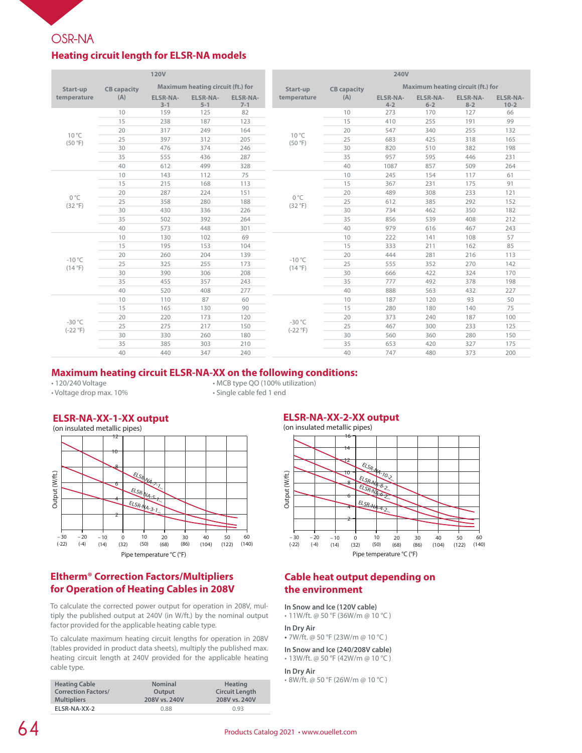## **OSR-NA**

## **Heating circuit length for ELSR-NA models**

| <b>120V</b>             |                    |                            |                                   |                            | 240V                      |                    |                                   |                            |                            |                             |
|-------------------------|--------------------|----------------------------|-----------------------------------|----------------------------|---------------------------|--------------------|-----------------------------------|----------------------------|----------------------------|-----------------------------|
| Start-up                | <b>CB</b> capacity |                            | Maximum heating circuit (ft.) for |                            | Start-up                  | <b>CB</b> capacity | Maximum heating circuit (ft.) for |                            |                            |                             |
| temperature             | (A)                | <b>ELSR-NA-</b><br>$3 - 1$ | <b>ELSR-NA-</b><br>$5 - 1$        | <b>ELSR-NA-</b><br>$7 - 1$ | temperature               | (A)                | <b>ELSR-NA-</b><br>$4 - 2$        | <b>ELSR-NA-</b><br>$6 - 2$ | <b>ELSR-NA-</b><br>$8 - 2$ | <b>ELSR-NA-</b><br>$10 - 2$ |
|                         | 10                 | 159                        | 125                               | 82                         |                           | 10                 | 273                               | 170                        | 127                        | 66                          |
|                         | 15                 | 238                        | 187                               | 123                        |                           | 15                 | 410                               | 255                        | 191                        | 99                          |
| $10^{\circ}$ C          | 20                 | 317                        | 249                               | 164                        |                           | 20                 | 547                               | 340                        | 255                        | 132                         |
| (50 °F)                 | 25                 | 397                        | 312                               | 205                        | $10^{\circ}$ C<br>(50°F)  | 25                 | 683                               | 425                        | 318                        | 165                         |
|                         | 30                 | 476                        | 374                               | 246                        |                           | 30                 | 820                               | 510                        | 382                        | 198                         |
|                         | 35                 | 555                        | 436                               | 287                        |                           | 35                 | 957                               | 595                        | 446                        | 231                         |
|                         | 40                 | 612                        | 499                               | 328                        |                           | 40                 | 1087                              | 857                        | 509                        | 264                         |
|                         | 10                 | 143                        | 112                               | 75                         |                           | 10                 | 245                               | 154                        | 117                        | 61                          |
|                         | 15                 | 215                        | 168                               | 113                        | $0^{\circ}$ C<br>(32 °F)  | 15                 | 367                               | 231                        | 175                        | 91                          |
|                         | 20                 | 287                        | 224                               | 151                        |                           | 20                 | 489                               | 308                        | 233                        | 121                         |
| $0^{\circ}C$<br>(32 °F) | 25                 | 358                        | 280                               | 188                        |                           | 25                 | 612                               | 385                        | 292                        | 152                         |
|                         | 30                 | 430                        | 336                               | 226                        |                           | 30                 | 734                               | 462                        | 350                        | 182                         |
|                         | 35                 | 502                        | 392                               | 264                        |                           | 35                 | 856                               | 539                        | 408                        | 212                         |
|                         | 40                 | 573                        | 448                               | 301                        |                           | 40                 | 979                               | 616                        | 467                        | 243                         |
|                         | 10                 | 130                        | 102                               | 69                         |                           | 10                 | 222                               | 141                        | 108                        | 57                          |
|                         | 15                 | 195                        | 153                               | 104                        |                           | 15                 | 333                               | 211                        | 162                        | 85                          |
| $-10^{\circ}$ C         | 20                 | 260                        | 204                               | 139                        | $-10^{\circ}$ C<br>(14°F) | 20                 | 444                               | 281                        | 216                        | 113                         |
| (14°F)                  | 25                 | 325                        | 255                               | 173                        |                           | 25                 | 555                               | 352                        | 270                        | 142                         |
|                         | 30                 | 390                        | 306                               | 208                        |                           | 30                 | 666                               | 422                        | 324                        | 170                         |
|                         | 35                 | 455                        | 357                               | 243                        |                           | 35                 | 777                               | 492                        | 378                        | 198                         |
|                         | 40                 | 520                        | 408                               | 277                        |                           | 40                 | 888                               | 563                        | 432                        | 227                         |
|                         | 10                 | 110                        | 87                                | 60                         |                           | 10                 | 187                               | 120                        | 93                         | 50                          |
|                         | 15                 | 165                        | 130                               | 90                         |                           | 15                 | 280                               | 180                        | 140                        | 75                          |
| $-30 °C$                | 20                 | 220                        | 173                               | 120                        | $-30 °C$                  | 20                 | 373                               | 240                        | 187                        | 100                         |
| $(-22 °F)$              | 25                 | 275                        | 217                               | 150                        | $(-22 °F)$                | 25                 | 467                               | 300                        | 233                        | 125                         |
|                         | 30                 | 330                        | 260                               | 180                        |                           | 30                 | 560                               | 360                        | 280                        | 150                         |
|                         | 35                 | 385                        | 303                               | 210                        |                           | 35                 | 653                               | 420                        | 327                        | 175                         |
|                         | 40                 | 440                        | 347                               | 240                        |                           | 40                 | 747                               | 480                        | 373                        | 200                         |

#### **Maximum heating circuit ELSR-NA-XX on the following conditions:**

• Voltage drop max. 10%

## • 120/240 Voltage • MCB type QO (100% utilization)

## **ELSR-NA-XX-1-XX output**



## **Eltherm® Correction Factors/Multipliers for Operation of Heating Cables in 208V**

To calculate the corrected power output for operation in 208V, multiply the published output at 240V (in W/ft.) by the nominal output factor provided for the applicable heating cable type.

To calculate maximum heating circuit lengths for operation in 208V (tables provided in product data sheets), multiply the published max. heating circuit length at 240V provided for the applicable heating cable type.

| <b>Heating Cable</b>       | <b>Nominal</b> | <b>Heating</b>        |
|----------------------------|----------------|-----------------------|
| <b>Correction Factors/</b> | Output         | <b>Circuit Length</b> |
| <b>Multipliers</b>         | 208V vs. 240V  | 208V vs. 240V         |
| ELSR-NA-XX-2               | 0.88           | 0.93                  |

#### **ELSR-NA-XX-2-XX output**



## **Cable heat output depending on the environment**

#### **In Snow and Ice (120V cable)**

• 11W/ft. @ 50 °F (36W/m @ 10 °C )

#### **In Dry Air**

**•** 7W/ft. @ 50 °F (23W/m @ 10 °C )

#### **In Snow and Ice (240/208V cable)** • 13W/ft. @ 50 °F (42W/m @ 10 °C )

#### **In Dry Air**

• 8W/ft. @ 50 °F (26W/m @ 10 °C )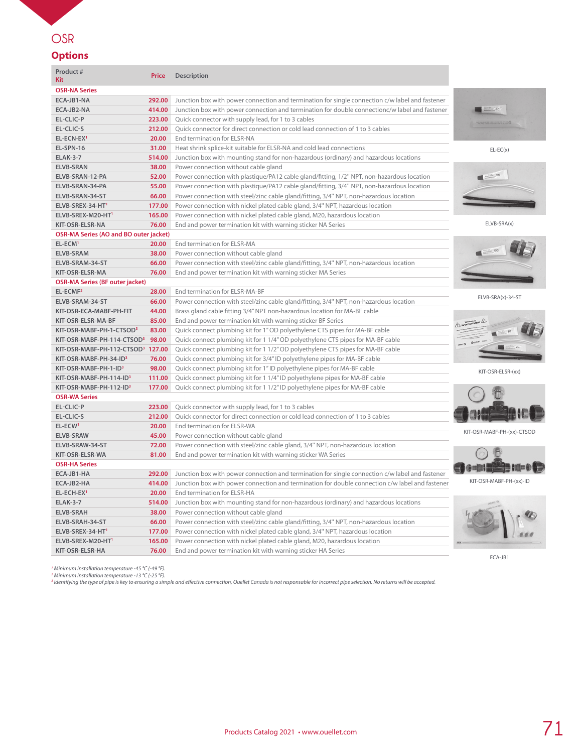## **OSR**

## **Options**

| Product #<br><b>Kit</b>                       | <b>Price</b> | Description                                                                                     |                                                                                                                                                                     |
|-----------------------------------------------|--------------|-------------------------------------------------------------------------------------------------|---------------------------------------------------------------------------------------------------------------------------------------------------------------------|
| <b>OSR-NA Series</b>                          |              |                                                                                                 |                                                                                                                                                                     |
| ECA-JB1-NA                                    | 292.00       | Junction box with power connection and termination for single connection c/w label and fastener |                                                                                                                                                                     |
| ECA-JB2-NA                                    | 414.00       | Junction box with power connection and termination for double connectionc/w label and fastener  | $\frac{\partial \mathcal{L}_{\mathcal{L}_{\mathcal{L}_{\mathcal{L}}}}}{\partial \mathcal{L}_{\mathcal{L}_{\mathcal{L}}}} = \mathcal{L}_{\mathcal{L}_{\mathcal{L}}}$ |
| EL-CLIC-P                                     | 223.00       | Quick connector with supply lead, for 1 to 3 cables                                             |                                                                                                                                                                     |
| EL-CLIC-S                                     | 212.00       | Quick connector for direct connection or cold lead connection of 1 to 3 cables                  | 1.3233.111111111110                                                                                                                                                 |
| EL-ECN-EX <sup>1</sup>                        | 20.00        | End termination for ELSR-NA                                                                     |                                                                                                                                                                     |
| EL-SPN-16                                     | 31.00        | Heat shrink splice-kit suitable for ELSR-NA and cold lead connections                           | $EL-EC(x)$                                                                                                                                                          |
| <b>ELAK-3-7</b>                               | 514.00       | Junction box with mounting stand for non-hazardous (ordinary) and hazardous locations           |                                                                                                                                                                     |
| <b>ELVB-SRAN</b>                              | 38.00        | Power connection without cable gland                                                            |                                                                                                                                                                     |
| ELVB-SRAN-12-PA                               | 52.00        | Power connection with plastique/PA12 cable gland/fitting, 1/2" NPT, non-hazardous location      |                                                                                                                                                                     |
| ELVB-SRAN-34-PA                               | 55.00        | Power connection with plastique/PA12 cable gland/fitting, 3/4" NPT, non-hazardous location      |                                                                                                                                                                     |
| ELVB-SRAN-34-ST                               | 66.00        | Power connection with steel/zinc cable gland/fitting, 3/4" NPT, non-hazardous location          |                                                                                                                                                                     |
| ELVB-SREX-34-HT1                              | 177.00       | Power connection with nickel plated cable gland, 3/4" NPT, hazardous location                   |                                                                                                                                                                     |
| ELVB-SREX-M20-HT'                             | 165.00       | Power connection with nickel plated cable gland, M20, hazardous location                        |                                                                                                                                                                     |
| KIT-OSR-ELSR-NA                               | 76.00        | End and power termination kit with warning sticker NA Series                                    | ELVB-SRA(x)                                                                                                                                                         |
| <b>OSR-MA Series (AO and BO outer jacket)</b> |              |                                                                                                 |                                                                                                                                                                     |
| EL-ECM <sup>1</sup>                           | 20.00        | End termination for ELSR-MA                                                                     |                                                                                                                                                                     |
| <b>ELVB-SRAM</b>                              | 38.00        | Power connection without cable gland                                                            |                                                                                                                                                                     |
| ELVB-SRAM-34-ST                               | 66.00        | Power connection with steel/zinc cable gland/fitting, 3/4" NPT, non-hazardous location          |                                                                                                                                                                     |
| KIT-OSR-ELSR-MA                               | 76.00        | End and power termination kit with warning sticker MA Series                                    |                                                                                                                                                                     |
| <b>OSR-MA Series (BF outer jacket)</b>        |              |                                                                                                 |                                                                                                                                                                     |
| EL-ECMF <sup>2</sup>                          | 28.00        | End termination for ELSR-MA-BF                                                                  |                                                                                                                                                                     |
| ELVB-SRAM-34-ST                               | 66.00        | Power connection with steel/zinc cable gland/fitting, 3/4" NPT, non-hazardous location          | ELVB-SRA(x)-34-ST                                                                                                                                                   |
| KIT-OSR-ECA-MABF-PH-FIT                       | 44.00        | Brass gland cable fitting 3/4" NPT non-hazardous location for MA-BF cable                       |                                                                                                                                                                     |
| KIT-OSR-ELSR-MA-BF                            | 85.00        | End and power termination kit with warning sticker BF Series                                    | A numeral A                                                                                                                                                         |
| KIT-OSR-MABF-PH-1-CTSOD <sup>3</sup>          | 83.00        | Quick connect plumbing kit for 1" OD polyethylene CTS pipes for MA-BF cable                     |                                                                                                                                                                     |
| KIT-OSR-MABF-PH-114-CTSOD3 98.00              |              | Quick connect plumbing kit for 1 1/4" OD polyethylene CTS pipes for MA-BF cable                 |                                                                                                                                                                     |
| KIT-OSR-MABF-PH-112-CTSOD3 127.00             |              | Quick connect plumbing kit for 1 1/2" OD polyethylene CTS pipes for MA-BF cable                 |                                                                                                                                                                     |
| KIT-OSR-MABF-PH-34-ID3                        | 76.00        | Quick connect plumbing kit for 3/4" ID polyethylene pipes for MA-BF cable                       |                                                                                                                                                                     |
| KIT-OSR-MABF-PH-1-ID3                         | 98.00        | Quick connect plumbing kit for 1"ID polyethylene pipes for MA-BF cable                          | KIT-OSR-ELSR-(xx)                                                                                                                                                   |
| KIT-OSR-MABF-PH-114-ID3                       | 111.00       | Quick connect plumbing kit for 1 1/4" ID polyethylene pipes for MA-BF cable                     |                                                                                                                                                                     |
| KIT-OSR-MABF-PH-112-ID <sup>3</sup>           | 177.00       | Quick connect plumbing kit for 1 1/2" ID polyethylene pipes for MA-BF cable                     |                                                                                                                                                                     |
| <b>OSR-WA Series</b>                          |              |                                                                                                 |                                                                                                                                                                     |
| EL-CLIC-P                                     | 223.00       | Quick connector with supply lead, for 1 to 3 cables                                             |                                                                                                                                                                     |
| EL-CLIC-S                                     | 212.00       | Quick connector for direct connection or cold lead connection of 1 to 3 cables                  |                                                                                                                                                                     |
| EL-ECW <sup>1</sup>                           | 20.00        | End termination for ELSR-WA                                                                     |                                                                                                                                                                     |
| <b>ELVB-SRAW</b>                              | 45.00        | Power connection without cable gland                                                            | KIT-OSR-MABF-PH-(xx)-CTSOD                                                                                                                                          |
| ELVB-SRAW-34-ST                               | 72.00        | Power connection with steel/zinc cable gland, 3/4" NPT, non-hazardous location                  |                                                                                                                                                                     |
| KIT-OSR-ELSR-WA                               | 81.00        | End and power termination kit with warning sticker WA Series                                    |                                                                                                                                                                     |
| <b>OSR-HA Series</b>                          |              |                                                                                                 | CO-DINNA IO-DI                                                                                                                                                      |
| ECA-JB1-HA                                    | 292.00       | Junction box with power connection and termination for single connection c/w label and fastener |                                                                                                                                                                     |
| ECA-JB2-HA                                    | 414.00       | Junction box with power connection and termination for double connection c/w label and fastener | KIT-OSR-MABF-PH-(xx)-ID                                                                                                                                             |
| EL-ECH-EX <sup>1</sup>                        | 20.00        | End termination for ELSR-HA                                                                     |                                                                                                                                                                     |
| <b>ELAK-3-7</b>                               | 514.00       | Junction box with mounting stand for non-hazardous (ordinary) and hazardous locations           |                                                                                                                                                                     |
| <b>ELVB-SRAH</b>                              | 38.00        | Power connection without cable gland                                                            |                                                                                                                                                                     |
| ELVB-SRAH-34-ST                               | 66.00        | Power connection with steel/zinc cable gland/fitting, 3/4" NPT, non-hazardous location          |                                                                                                                                                                     |
| ELVB-SREX-34-HT1                              | 177.00       | Power connection with nickel plated cable gland, 3/4" NPT, hazardous location                   |                                                                                                                                                                     |
| ELVB-SREX-M20-HT'                             | 165.00       | Power connection with nickel plated cable gland, M20, hazardous location                        |                                                                                                                                                                     |
| KIT-OSR-ELSR-HA                               | 76.00        | End and power termination kit with warning sticker HA Series                                    | ECA-JB1                                                                                                                                                             |
|                                               |              |                                                                                                 |                                                                                                                                                                     |

' Minimum installation temperature -45 ℃ (-49 ℉).<br>? Minimum installation temperature -13 ℃ (-25 ℉).<br>? Identifying the type of pipe is key to ensuring a simple and effective connection, Ouellet Canada is not responsable fo